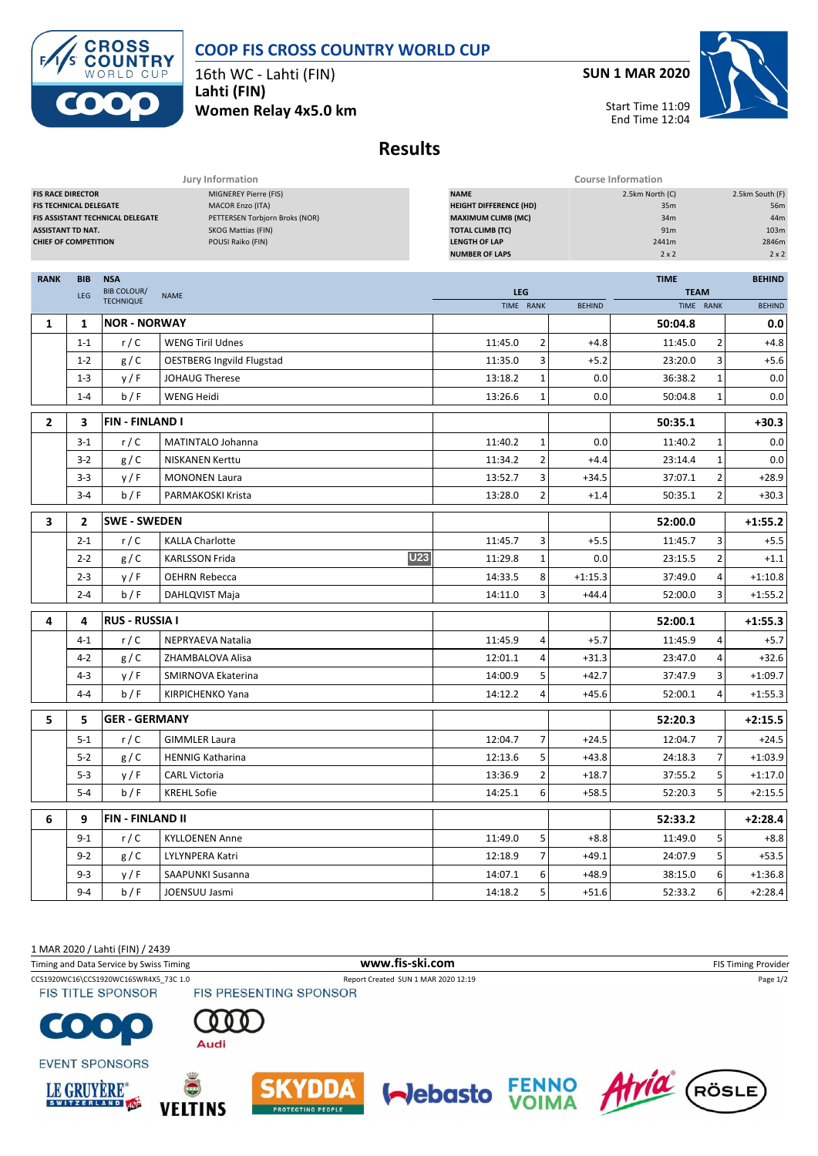



16th WC - Lahti (FIN) **Lahti (FIN)**

**Women Relay 4x5.0 km**

**SUN 1 MAR 2020**



Start Time 11:09 End Time 12:04

## **Results**

|                                                                                                                      |                                  |                                                                                                                        | Jury Information                                                                                                                                      | <b>Course Information</b>                |                |                                                               |               |                                                                |               |  |
|----------------------------------------------------------------------------------------------------------------------|----------------------------------|------------------------------------------------------------------------------------------------------------------------|-------------------------------------------------------------------------------------------------------------------------------------------------------|------------------------------------------|----------------|---------------------------------------------------------------|---------------|----------------------------------------------------------------|---------------|--|
| <b>FIS RACE DIRECTOR</b><br><b>FIS TECHNICAL DELEGATE</b><br><b>ASSISTANT TD NAT.</b><br><b>CHIEF OF COMPETITION</b> | FIS ASSISTANT TECHNICAL DELEGATE | MIGNEREY Pierre (FIS)<br>MACOR Enzo (ITA)<br>PETTERSEN Torbjorn Broks (NOR)<br>SKOG Mattias (FIN)<br>POUSI Raiko (FIN) | <b>NAME</b><br><b>HEIGHT DIFFERENCE (HD)</b><br><b>MAXIMUM CLIMB (MC)</b><br><b>TOTAL CLIMB (TC)</b><br><b>LENGTH OF LAP</b><br><b>NUMBER OF LAPS</b> |                                          |                | 2.5km North (C)<br>35m<br>34m<br>91m<br>2441m<br>$2 \times 2$ |               | 2.5km South (F)<br>56m<br>44m<br>103m<br>2846m<br>$2 \times 2$ |               |  |
|                                                                                                                      |                                  |                                                                                                                        |                                                                                                                                                       |                                          |                |                                                               |               |                                                                |               |  |
| <b>RANK</b>                                                                                                          | <b>BIB</b>                       | <b>NSA</b>                                                                                                             |                                                                                                                                                       |                                          |                | <b>TIME</b>                                                   | <b>BEHIND</b> |                                                                |               |  |
|                                                                                                                      | LEG                              | <b>BIB COLOUR/</b><br><b>TECHNIQUE</b>                                                                                 | <b>NAME</b>                                                                                                                                           | <b>LEG</b><br>TIME RANK<br><b>BEHIND</b> |                |                                                               | <b>TEAM</b>   | TIME RANK                                                      | <b>BEHIND</b> |  |
| 1                                                                                                                    | 1                                | <b>NOR - NORWAY</b>                                                                                                    |                                                                                                                                                       |                                          |                |                                                               | 50:04.8       |                                                                | 0.0           |  |
|                                                                                                                      | $1 - 1$                          | r/C                                                                                                                    | <b>WENG Tiril Udnes</b>                                                                                                                               | 11:45.0                                  | 2              | $+4.8$                                                        | 11:45.0       | 2                                                              | $+4.8$        |  |
|                                                                                                                      | $1 - 2$                          | g/C                                                                                                                    | <b>OESTBERG Ingvild Flugstad</b>                                                                                                                      | 11:35.0                                  | 3              | $+5.2$                                                        | 23:20.0       | 3                                                              | $+5.6$        |  |
|                                                                                                                      | $1 - 3$                          | y/F                                                                                                                    | <b>JOHAUG Therese</b>                                                                                                                                 | 13:18.2                                  | 1              | 0.0                                                           | 36:38.2       | $\mathbf{1}$                                                   | 0.0           |  |
|                                                                                                                      | $1 - 4$                          | b/F                                                                                                                    | WENG Heidi                                                                                                                                            | 13:26.6                                  | $\mathbf{1}$   | 0.0                                                           | 50:04.8       | 1                                                              | 0.0           |  |
| $\overline{2}$                                                                                                       | 3                                | <b>FIN-FINLAND I</b>                                                                                                   |                                                                                                                                                       |                                          |                |                                                               | 50:35.1       |                                                                | $+30.3$       |  |
|                                                                                                                      | $3 - 1$                          | r/C                                                                                                                    | MATINTALO Johanna                                                                                                                                     | 11:40.2                                  | 1              | 0.0                                                           | 11:40.2       | 1                                                              | 0.0           |  |
|                                                                                                                      | $3 - 2$                          | g/C                                                                                                                    | <b>NISKANEN Kerttu</b>                                                                                                                                | 11:34.2                                  | 2              | $+4.4$                                                        | 23:14.4       | 1                                                              | 0.0           |  |
|                                                                                                                      | $3 - 3$                          | y/F                                                                                                                    | <b>MONONEN Laura</b>                                                                                                                                  | 13:52.7                                  | 3              | $+34.5$                                                       | 37:07.1       | $\overline{2}$                                                 | $+28.9$       |  |
|                                                                                                                      | $3 - 4$                          | b/F                                                                                                                    | <b>PARMAKOSKI Krista</b>                                                                                                                              | 13:28.0                                  | $\overline{2}$ | $+1.4$                                                        | 50:35.1       | $\overline{2}$                                                 | $+30.3$       |  |
| 3                                                                                                                    | $\overline{2}$                   | <b>SWE - SWEDEN</b>                                                                                                    |                                                                                                                                                       |                                          |                |                                                               | 52:00.0       |                                                                | $+1:55.2$     |  |
|                                                                                                                      | $2 - 1$                          | r/C                                                                                                                    | <b>KALLA Charlotte</b>                                                                                                                                | 11:45.7                                  | 3              | $+5.5$                                                        | 11:45.7       | 3                                                              | $+5.5$        |  |
|                                                                                                                      | $2 - 2$                          | g/C                                                                                                                    | <b>U23</b><br><b>KARLSSON Frida</b>                                                                                                                   | 11:29.8                                  | $\mathbf{1}$   | 0.0                                                           | 23:15.5       | $\overline{2}$                                                 | $+1.1$        |  |
|                                                                                                                      | $2 - 3$                          | y/F                                                                                                                    | <b>OEHRN Rebecca</b>                                                                                                                                  | 14:33.5                                  | 8              | $+1:15.3$                                                     | 37:49.0       | 4                                                              | $+1:10.8$     |  |
|                                                                                                                      | $2 - 4$                          | b/F                                                                                                                    | DAHLQVIST Maja                                                                                                                                        | 14:11.0                                  | 3              | $+44.4$                                                       | 52:00.0       | 3                                                              | $+1:55.2$     |  |
| 4                                                                                                                    | 4                                | <b>RUS - RUSSIA I</b>                                                                                                  |                                                                                                                                                       |                                          |                |                                                               | 52:00.1       |                                                                | $+1:55.3$     |  |
|                                                                                                                      | $4 - 1$                          | r/C                                                                                                                    | <b>NEPRYAEVA Natalia</b>                                                                                                                              | 11:45.9                                  | 4              | $+5.7$                                                        | 11:45.9       | 4                                                              | $+5.7$        |  |
|                                                                                                                      | $4 - 2$                          | g/C                                                                                                                    | ZHAMBALOVA Alisa                                                                                                                                      | 12:01.1                                  | 4              | $+31.3$                                                       | 23:47.0       | 4                                                              | $+32.6$       |  |
|                                                                                                                      | $4 - 3$                          | y/F                                                                                                                    | SMIRNOVA Ekaterina                                                                                                                                    | 14:00.9                                  | 5              | $+42.7$                                                       | 37:47.9       | 3                                                              | $+1:09.7$     |  |
|                                                                                                                      | $4 - 4$                          | b/F                                                                                                                    | KIRPICHENKO Yana                                                                                                                                      | 14:12.2                                  | 4              | $+45.6$                                                       | 52:00.1       | 4                                                              | $+1:55.3$     |  |
| 5                                                                                                                    | 5                                | <b>GER - GERMANY</b>                                                                                                   |                                                                                                                                                       |                                          |                |                                                               | 52:20.3       |                                                                | $+2:15.5$     |  |
|                                                                                                                      | $5 - 1$                          | r/C                                                                                                                    | <b>GIMMLER Laura</b>                                                                                                                                  | 12:04.7                                  | 7              | $+24.5$                                                       | 12:04.7       | 7                                                              | $+24.5$       |  |
|                                                                                                                      | $5 - 2$                          | g/C                                                                                                                    | <b>HENNIG Katharina</b>                                                                                                                               | 12:13.6                                  | 5              | $+43.8$                                                       | 24:18.3       | 7                                                              | $+1:03.9$     |  |
|                                                                                                                      | $5-3$                            | y/F                                                                                                                    | <b>CARL Victoria</b>                                                                                                                                  | 13:36.9                                  | 2              | $+18.7$                                                       | 37:55.2       | 5                                                              | $+1:17.0$     |  |
|                                                                                                                      | $5-4$                            | b/F                                                                                                                    | <b>KREHL Sofie</b>                                                                                                                                    | 14:25.1                                  | $6 \mid$       | $+58.5$                                                       | 52:20.3       | $\overline{\mathbf{5}}$                                        | $+2:15.5$     |  |
| 6                                                                                                                    | 9                                | <b>FIN - FINLAND II</b>                                                                                                |                                                                                                                                                       |                                          |                |                                                               | 52:33.2       |                                                                | $+2:28.4$     |  |
|                                                                                                                      | $9 - 1$                          | r/C                                                                                                                    | <b>KYLLOENEN Anne</b>                                                                                                                                 | 11:49.0                                  | 5 <sup>1</sup> | $+8.8$                                                        | 11:49.0       | 5                                                              | $+8.8$        |  |
|                                                                                                                      | $9 - 2$                          | g/C                                                                                                                    | LYLYNPERA Katri                                                                                                                                       | 12:18.9                                  | 7              | $+49.1$                                                       | 24:07.9       | 5                                                              | $+53.5$       |  |
|                                                                                                                      | $9 - 3$                          | y/F                                                                                                                    | SAAPUNKI Susanna                                                                                                                                      | 14:07.1                                  | 6              | $+48.9$                                                       | 38:15.0       | 6                                                              | $+1:36.8$     |  |
|                                                                                                                      | $9 - 4$                          | b/F                                                                                                                    | JOENSUU Jasmi                                                                                                                                         | 14:18.2                                  | 5 <sup>1</sup> | $+51.6$                                                       | 52:33.2       | 6                                                              | $+2:28.4$     |  |

1 MAR 2020 / Lahti (FIN) / 2439

CCS1920WC16\CCS1920WC16SWR4X5\_73C 1.0 Report Created SUN 1 MAR 2020 12:19 Page 1/2<br>
FIS TITLE SPONSOR FIS PRESENTING SPONSOR Timing and Data Service by Swiss Timing **WWW.fis-Ski.com WWW.fis-Ski.com** FIS Timing Provider

**FIS TITLE SPONSOR**